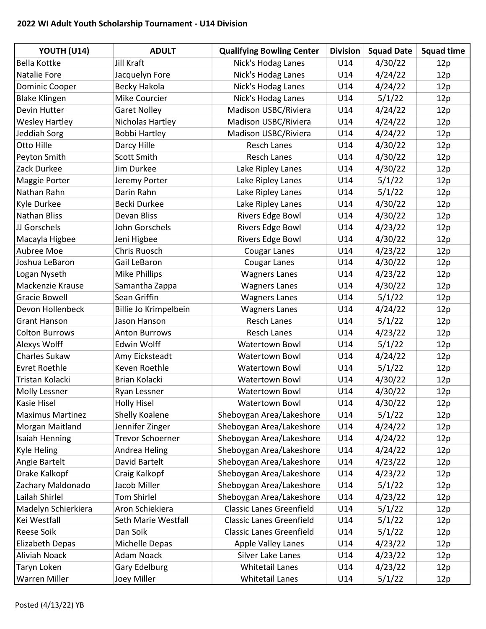## 2022 WI Adult Youth Scholarship Tournament - U14 Division

| YOUTH (U14)             | <b>ADULT</b>            | <b>Qualifying Bowling Center</b> | <b>Division</b> | <b>Squad Date</b> | <b>Squad time</b> |
|-------------------------|-------------------------|----------------------------------|-----------------|-------------------|-------------------|
| <b>Bella Kottke</b>     | Jill Kraft              | Nick's Hodag Lanes               | U14             | 4/30/22           | 12p               |
| <b>Natalie Fore</b>     | Jacquelyn Fore          | Nick's Hodag Lanes               | U14             | 4/24/22           | 12p               |
| <b>Dominic Cooper</b>   | Becky Hakola            | Nick's Hodag Lanes               | U14             | 4/24/22           | 12p               |
| <b>Blake Klingen</b>    | Mike Courcier           | Nick's Hodag Lanes               | U14             | 5/1/22            | 12p               |
| Devin Hutter            | <b>Garet Nolley</b>     | Madison USBC/Riviera             | U14             | 4/24/22           | 12p               |
| <b>Wesley Hartley</b>   | Nicholas Hartley        | Madison USBC/Riviera             | U14             | 4/24/22           | 12p               |
| Jeddiah Sorg            | <b>Bobbi Hartley</b>    | Madison USBC/Riviera             | U14             | 4/24/22           | 12p               |
| Otto Hille              | Darcy Hille             | <b>Resch Lanes</b>               | U14             | 4/30/22           | 12p               |
| Peyton Smith            | Scott Smith             | <b>Resch Lanes</b>               | U14             | 4/30/22           | 12p               |
| Zack Durkee             | Jim Durkee              | Lake Ripley Lanes                | U14             | 4/30/22           | 12p               |
| <b>Maggie Porter</b>    | Jeremy Porter           | Lake Ripley Lanes                | U14             | 5/1/22            | 12p               |
| Nathan Rahn             | Darin Rahn              | Lake Ripley Lanes                | U14             | 5/1/22            | 12p               |
| Kyle Durkee             | Becki Durkee            | Lake Ripley Lanes                | U14             | 4/30/22           | 12p               |
| <b>Nathan Bliss</b>     | Devan Bliss             | <b>Rivers Edge Bowl</b>          | U14             | 4/30/22           | 12p               |
| JJ Gorschels            | John Gorschels          | <b>Rivers Edge Bowl</b>          | U14             | 4/23/22           | 12p               |
| Macayla Higbee          | Jeni Higbee             | <b>Rivers Edge Bowl</b>          | U14             | 4/30/22           | 12p               |
| Aubree Moe              | Chris Ruosch            | <b>Cougar Lanes</b>              | U14             | 4/23/22           | 12p               |
| Joshua LeBaron          | Gail LeBaron            | <b>Cougar Lanes</b>              | U14             | 4/30/22           | 12p               |
| Logan Nyseth            | Mike Phillips           | <b>Wagners Lanes</b>             | U14             | 4/23/22           | 12p               |
| <b>Mackenzie Krause</b> | Samantha Zappa          | <b>Wagners Lanes</b>             | U14             | 4/30/22           | 12p               |
| <b>Gracie Bowell</b>    | Sean Griffin            | <b>Wagners Lanes</b>             | U14             | 5/1/22            | 12p               |
| Devon Hollenbeck        | Billie Jo Krimpelbein   | <b>Wagners Lanes</b>             | U14             | 4/24/22           | 12p               |
| <b>Grant Hanson</b>     | Jason Hanson            | <b>Resch Lanes</b>               | U14             | 5/1/22            | 12p               |
| <b>Colton Burrows</b>   | <b>Anton Burrows</b>    | <b>Resch Lanes</b>               | U14             | 4/23/22           | 12p               |
| Alexys Wolff            | <b>Edwin Wolff</b>      | <b>Watertown Bowl</b>            | U14             | 5/1/22            | 12p               |
| <b>Charles Sukaw</b>    | Amy Eicksteadt          | <b>Watertown Bowl</b>            | U14             | 4/24/22           | 12p               |
| <b>Evret Roethle</b>    | Keven Roethle           | <b>Watertown Bowl</b>            | U14             | 5/1/22            | 12p               |
| Tristan Kolacki         | Brian Kolacki           | <b>Watertown Bowl</b>            | U14             | 4/30/22           | 12p               |
| <b>Molly Lessner</b>    | Ryan Lessner            | <b>Watertown Bowl</b>            | U14             | 4/30/22           | 12p               |
| <b>Kasie Hisel</b>      | <b>Holly Hisel</b>      | <b>Watertown Bowl</b>            | U14             | 4/30/22           | 12p               |
| <b>Maximus Martinez</b> | Shelly Koalene          | Sheboygan Area/Lakeshore         | U14             | 5/1/22            | 12p               |
| Morgan Maitland         | Jennifer Zinger         | Sheboygan Area/Lakeshore         | U14             | 4/24/22           | 12p               |
| <b>Isaiah Henning</b>   | <b>Trevor Schoerner</b> | Sheboygan Area/Lakeshore         | U14             | 4/24/22           | 12p               |
| <b>Kyle Heling</b>      | Andrea Heling           | Sheboygan Area/Lakeshore         | U14             | 4/24/22           | 12p               |
| Angie Bartelt           | David Bartelt           | Sheboygan Area/Lakeshore         | U14             | 4/23/22           | 12p               |
| Drake Kalkopf           | Craig Kalkopf           | Sheboygan Area/Lakeshore         | U14             | 4/23/22           | 12p               |
| Zachary Maldonado       | Jacob Miller            | Sheboygan Area/Lakeshore         | U14             | 5/1/22            | 12p               |
| Lailah Shirlel          | <b>Tom Shirlel</b>      | Sheboygan Area/Lakeshore         | U14             | 4/23/22           | 12p               |
| Madelyn Schierkiera     | Aron Schiekiera         | <b>Classic Lanes Greenfield</b>  | U14             | 5/1/22            | 12p               |
| Kei Westfall            | Seth Marie Westfall     | <b>Classic Lanes Greenfield</b>  | U14             | 5/1/22            | 12p               |
| <b>Reese Soik</b>       | Dan Soik                | <b>Classic Lanes Greenfield</b>  | U14             | 5/1/22            | 12p               |
| Elizabeth Depas         | Michelle Depas          | <b>Apple Valley Lanes</b>        | U14             | 4/23/22           | 12p               |
| <b>Aliviah Noack</b>    | Adam Noack              | Silver Lake Lanes                | U14             | 4/23/22           | 12p               |
| Taryn Loken             | Gary Edelburg           | <b>Whitetail Lanes</b>           | U14             | 4/23/22           | 12p               |
| <b>Warren Miller</b>    | Joey Miller             | <b>Whitetail Lanes</b>           | U14             | 5/1/22            | 12p               |